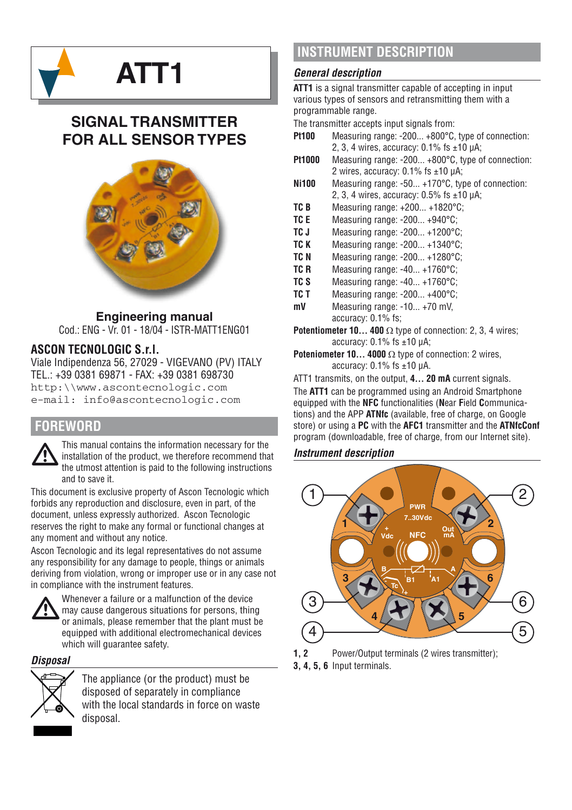

# **SIGNAL TRANSMITTER FOR ALL SENSOR TYPES**



## **Engineering manual**

Cod.: ENG - Vr. 01 - 18/04 - ISTR-MATT1ENG01

### **ASCON TECNOLOGIC S.r.l.**

Viale Indipendenza 56, 27029 - VIGEVANO (PV) ITALY TEL.: +39 0381 69871 - FAX: +39 0381 698730 http:\\www.ascontecnologic.com e-mail: info@ascontecnologic.com

### **FOREWORD**

This manual contains the information necessary for the installation of the product, we therefore recommend that the utmost attention is paid to the following instructions installation of the product, we therefore recommend that and to save it.

This document is exclusive property of Ascon Tecnologic which forbids any reproduction and disclosure, even in part, of the document, unless expressly authorized. Ascon Tecnologic reserves the right to make any formal or functional changes at any moment and without any notice.

Ascon Tecnologic and its legal representatives do not assume any responsibility for any damage to people, things or animals deriving from violation, wrong or improper use or in any case not in compliance with the instrument features.



Whenever a failure or a malfunction of the device<br>may cause dangerous situations for persons, thin<br>or animals, please remember that the plant must may cause dangerous situations for persons, thing or animals, please remember that the plant must be equipped with additional electromechanical devices which will guarantee safety.

*Disposal*



The appliance (or the product) must be disposed of separately in compliance with the local standards in force on waste disposal.

# **INSTRUMENT DESCRIPTION**

#### *General description*

**ATT1** is a signal transmitter capable of accepting in input various types of sensors and retransmitting them with a programmable range.

The transmitter accepts input signals from:

- **Pt100** Measuring range: -200... +800°C, type of connection: 2, 3, 4 wires, accuracy: 0.1% fs ±10 μA;
- **Pt1000** Measuring range: -200... +800°C, type of connection: 2 wires, accuracy: 0.1% fs ±10 μA;
- **Ni100** Measuring range: -50. +170°C, type of connection: 2, 3, 4 wires, accuracy: 0.5% fs ±10 μA;
- **TC B** Measuring range: +200... +1820°C;
- **TC E** Measuring range: -200... +940°C;<br> **TC.I** Measuring range: -200 +1200°C
- **TC J** Measuring range: -200... +1200°C;<br>**TC K** Measuring range: -200 +1340°C;
- **TC K** Measuring range: -200... +1340°C;<br> **TC N** Measuring range: -200 +1280°C;
- **TC N** Measuring range: -200... +1280°C;<br> **TC R** Measuring range: -40 +1760°C;
- **Measuring range: -40... +1760°C;**
- **TC S** Measuring range: -40... +1760°C;<br> **TC T** Measuring range: -200 +400°C;
- **TC T** Measuring range: -200... +400°C;<br>mV Measuring range: -10 +70 mV
- **Measuring range: -10... +70 mV,** accuracy: 0.1% fs;
- **Potentiometer 10... 400** Ω type of connection: 2, 3, 4 wires; accuracy: 0.1% fs ±10 μA;
- **Poteniometer 10... 4000** Ω type of connection: 2 wires, accuracy: 0.1% fs ±10 μA.
- ATT1 transmits, on the output, **4... 20 mA** current signals.

The **ATT1** can be programmed using an Android Smartphone equipped with the **NFC** functionalities (**N**ear **F**ield **C**ommunications) and the APP **ATNfc** (available, free of charge, on Google store) or using a **PC** with the **AFC1** transmitter and the **ATNfcConf**  program (downloadable, free of charge, from our Internet site).

#### *Instrument description*



**1, 2** Power/Output terminals (2 wires transmitter);

**3, 4, 5, 6** Input terminals.